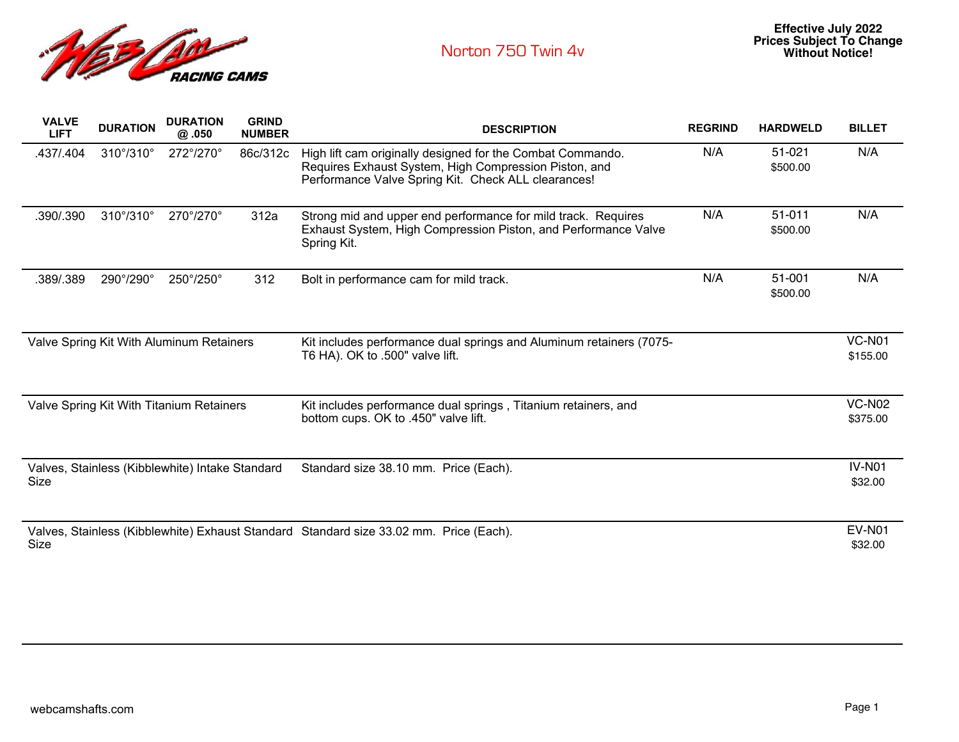

| <b>VALVE</b><br><b>LIFT</b>                                                                    | <b>DURATION</b> | <b>DURATION</b><br>@.050 | <b>GRIND</b><br><b>NUMBER</b> | <b>DESCRIPTION</b>                                                                                                                                                         | <b>REGRIND</b> | <b>HARDWELD</b>    | <b>BILLET</b>             |
|------------------------------------------------------------------------------------------------|-----------------|--------------------------|-------------------------------|----------------------------------------------------------------------------------------------------------------------------------------------------------------------------|----------------|--------------------|---------------------------|
| .437/.404                                                                                      | 310°/310°       | 272°/270°                | 86c/312c                      | High lift cam originally designed for the Combat Commando.<br>Requires Exhaust System, High Compression Piston, and<br>Performance Valve Spring Kit. Check ALL clearances! | N/A            | 51-021<br>\$500.00 | N/A                       |
| .390/.390                                                                                      | 310°/310°       | 270°/270°                | 312a                          | Strong mid and upper end performance for mild track. Requires<br>Exhaust System, High Compression Piston, and Performance Valve<br>Spring Kit.                             | N/A            | 51-011<br>\$500.00 | N/A                       |
| .389/.389                                                                                      | 290°/290°       | 250°/250°                | 312                           | Bolt in performance cam for mild track.                                                                                                                                    | N/A            | 51-001<br>\$500.00 | N/A                       |
| Valve Spring Kit With Aluminum Retainers                                                       |                 |                          |                               | Kit includes performance dual springs and Aluminum retainers (7075-<br>T6 HA). OK to .500" valve lift.                                                                     |                |                    | <b>VC-N01</b><br>\$155.00 |
| Valve Spring Kit With Titanium Retainers                                                       |                 |                          |                               | Kit includes performance dual springs, Titanium retainers, and<br>bottom cups. OK to .450" valve lift.                                                                     |                |                    | <b>VC-N02</b><br>\$375.00 |
| Valves, Stainless (Kibblewhite) Intake Standard<br>Size                                        |                 |                          |                               | Standard size 38.10 mm. Price (Each).                                                                                                                                      |                |                    | <b>IV-N01</b><br>\$32.00  |
| Valves, Stainless (Kibblewhite) Exhaust Standard Standard size 33.02 mm. Price (Each).<br>Size |                 |                          |                               |                                                                                                                                                                            |                |                    | <b>EV-N01</b><br>\$32.00  |